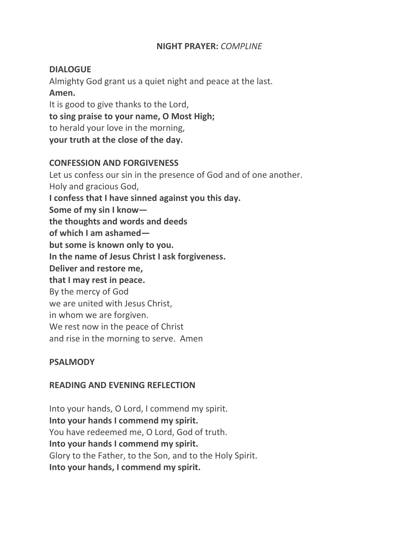#### **NIGHT PRAYER:** *COMPLINE*

## **DIALOGUE**

Almighty God grant us a quiet night and peace at the last. **Amen.** It is good to give thanks to the Lord, **to sing praise to your name, O Most High;**

to herald your love in the morning,

**your truth at the close of the day.**

#### **CONFESSION AND FORGIVENESS**

Let us confess our sin in the presence of God and of one another. Holy and gracious God, **I confess that I have sinned against you this day. Some of my sin I know the thoughts and words and deeds of which I am ashamed but some is known only to you. In the name of Jesus Christ I ask forgiveness. Deliver and restore me, that I may rest in peace.** By the mercy of God we are united with Jesus Christ, in whom we are forgiven. We rest now in the peace of Christ and rise in the morning to serve. Amen

## **PSALMODY**

## **READING AND EVENING REFLECTION**

Into your hands, O Lord, I commend my spirit. **Into your hands I commend my spirit.** You have redeemed me, O Lord, God of truth. **Into your hands I commend my spirit.** Glory to the Father, to the Son, and to the Holy Spirit. **Into your hands, I commend my spirit.**